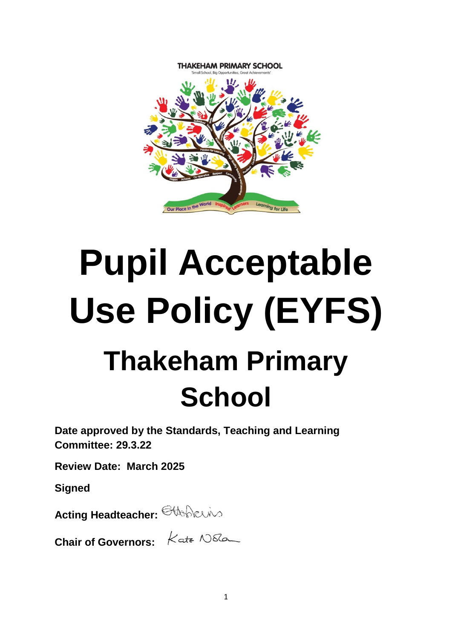

## **Pupil Acceptable Use Policy (EYFS) Thakeham Primary School**

**Date approved by the Standards, Teaching and Learning Committee: 29.3.22**

**Review Date: March 2025**

**Signed**

**Acting Headteacher:** Stranger

**Chair of Governors:**